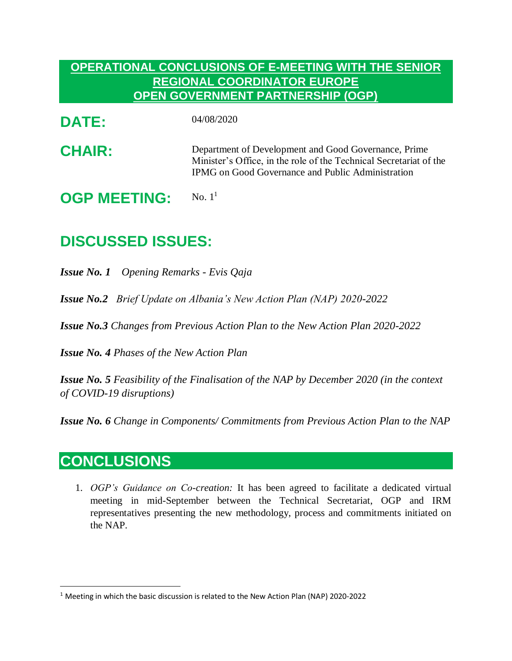## **OPERATIONAL CONCLUSIONS OF E-MEETING WITH THE SENIOR REGIONAL COORDINATOR EUROPE OPEN GOVERNMENT PARTNERSHIP (OGP)**

**DATE:** 04/08/2020

**CHAIR:** Department of Development and Good Governance, Prime Minister's Office, in the role of the Technical Secretariat of the IPMG on Good Governance and Public Administration

**OGP MEETING:** No.  $1<sup>1</sup>$ 

## **DISCUSSED ISSUES:**

*Issue No. 1 Opening Remarks - Evis Qaja* 

*Issue No.2 Brief Update on Albania's New Action Plan (NAP) 2020-2022*

*Issue No.3 Changes from Previous Action Plan to the New Action Plan 2020-2022*

*Issue No. 4 Phases of the New Action Plan* 

*Issue No. 5 Feasibility of the Finalisation of the NAP by December 2020 (in the context of COVID-19 disruptions)*

*Issue No. 6 Change in Components/ Commitments from Previous Action Plan to the NAP*

## **CONCLUSIONS**

 $\overline{a}$ 

1. *OGP's Guidance on Co-creation:* It has been agreed to facilitate a dedicated virtual meeting in mid-September between the Technical Secretariat, OGP and IRM representatives presenting the new methodology, process and commitments initiated on the NAP.

<sup>&</sup>lt;sup>1</sup> Meeting in which the basic discussion is related to the New Action Plan (NAP) 2020-2022